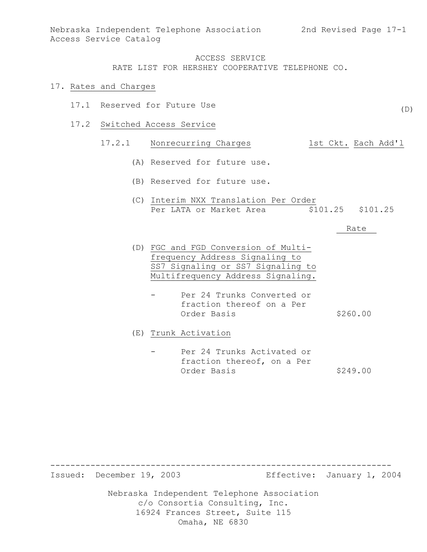(D)

### ACCESS SERVICE RATE LIST FOR HERSHEY COOPERATIVE TELEPHONE CO.

#### 17. Rates and Charges

- 17.1 Reserved for Future Use
- 17.2 Switched Access Service

# 17.2.1 Nonrecurring Charges 1st Ckt. Each Add'l

- (A) Reserved for future use.
- (B) Reserved for future use.
- (C) Interim NXX Translation Per Order Per LATA or Market Area  $$101.25$  \$101.25

#### Rate

- (D) FGC and FGD Conversion of Multifrequency Address Signaling to SS7 Signaling or SS7 Signaling to Multifrequency Address Signaling.
	- Per 24 Trunks Converted or fraction thereof on a Per Order Basis \$260.00

(E) Trunk Activation

Per 24 Trunks Activated or fraction thereof, on a Per Order Basis \$249.00

Issued: December 19, 2003 Effective: January 1, 2004

Nebraska Independent Telephone Association c/o Consortia Consulting, Inc. 16924 Frances Street, Suite 115 Omaha, NE 6830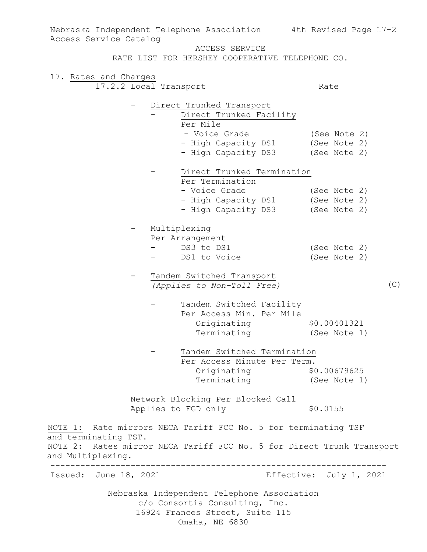Nebraska Independent Telephone Association Nebraska Independent Telephone Association 4th Revised Page 17-2 Access Service Catalog ACCESS SERVICE RATE LIST FOR HERSHEY COOPERATIVE TELEPHONE CO. 17. Rates and Charges 17.2.2 Local Transport Rate - Direct Trunked Transport Direct Trunked Facility Per Mile - Voice Grade (See Note 2) - High Capacity DS1 (See Note 2) - High Capacity DS3 (See Note 2) - Direct Trunked Termination Per Termination - Voice Grade (See Note 2) - High Capacity DS1 (See Note 2) - High Capacity DS3 (See Note 2) - Multiplexing Per Arrangement<br>- DS3 to DS1 (See Note 2)<br>(See Note 2) - DS1 to Voice Tandem Switched Transport *(Applies to Non-Toll Free)* Tandem Switched Facility Per Access Min. Per Mile Originating \$0.00401321 Terminating (See Note 1) Tandem Switched Termination Per Access Minute Per Term. Originating \$0.00679625 Terminating (See Note 1) Network Blocking Per Blocked Call Applies to FGD only \$0.0155 NOTE 1: Rate mirrors NECA Tariff FCC No. 5 for terminating TSF and terminating TST. NOTE 2: Rates mirror NECA Tariff FCC No. 5 for Direct Trunk Transport and Multiplexing. ------------------------------------------------------------------- Issued: June 18, 2021 Effective: July 1, 2021 (C)

c/o Consortia Consulting, Inc. 16924 Frances Street, Suite 115 Omaha, NE 6830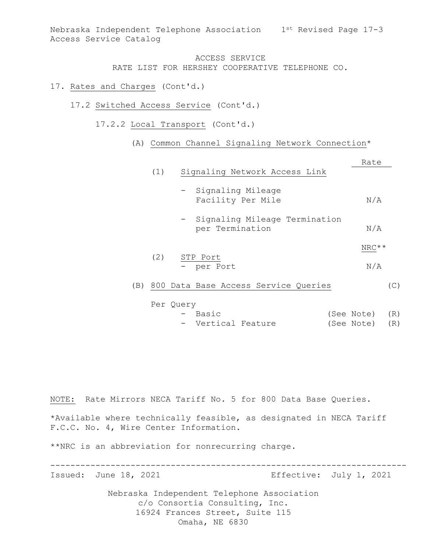Nebraska Independent Telephone Association 1st Revised Page 17-3 Access Service Catalog

> ACCESS SERVICE RATE LIST FOR HERSHEY COOPERATIVE TELEPHONE CO.

- 17. Rates and Charges (Cont'd.)
	- 17.2 Switched Access Service (Cont'd.)
		- 17.2.2 Local Transport (Cont'd.)
			- (A) Common Channel Signaling Network Connection\*

|     |     |                                                    | Rate    |
|-----|-----|----------------------------------------------------|---------|
|     | (1) | Signaling Network Access Link                      |         |
|     |     | - Signaling Mileage<br>Facility Per Mile           | N/A     |
|     |     | - Signaling Mileage Termination<br>per Termination | N/A     |
|     |     |                                                    | $NRC**$ |
|     | (2) | STP Port                                           |         |
|     |     | - per Port                                         | N/A     |
| (B) |     | 800 Data Base Access Service Queries               | (C)     |
|     |     | Per Query                                          |         |

| - Basic            |  | (See Note) (R) |  |
|--------------------|--|----------------|--|
| - Vertical Feature |  | (See Note) (R) |  |

NOTE: Rate Mirrors NECA Tariff No. 5 for 800 Data Base Queries.

\*Available where technically feasible, as designated in NECA Tariff F.C.C. No. 4, Wire Center Information.

-----------------------------------------------------------------------

\*\*NRC is an abbreviation for nonrecurring charge.

Issued: June 18, 2021 **Effective: July 1, 2021**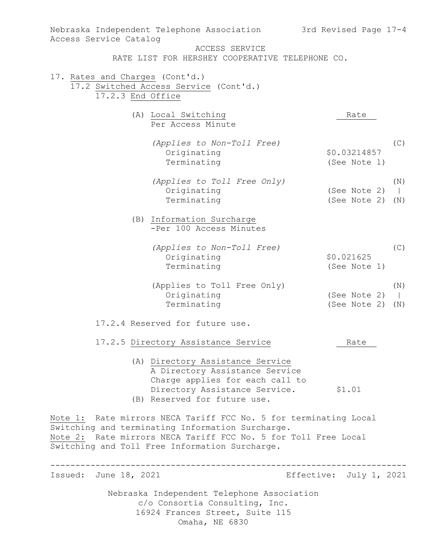| Nebraska Independent Telephone Association<br>Access Service Catalog                                                                                                                                                                     | 3rd Revised Page 17-4          |
|------------------------------------------------------------------------------------------------------------------------------------------------------------------------------------------------------------------------------------------|--------------------------------|
| ACCESS SERVICE                                                                                                                                                                                                                           |                                |
| RATE LIST FOR HERSHEY COOPERATIVE TELEPHONE CO.                                                                                                                                                                                          |                                |
| 17. Rates and Charges (Cont'd.)                                                                                                                                                                                                          |                                |
| 17.2 Switched Access Service (Cont'd.)                                                                                                                                                                                                   |                                |
| 17.2.3 End Office                                                                                                                                                                                                                        |                                |
| (A) Local Switching<br>Per Access Minute                                                                                                                                                                                                 | Rate                           |
| (Applies to Non-Toll Free)                                                                                                                                                                                                               | (C)                            |
| Originating                                                                                                                                                                                                                              | \$0.03214857                   |
| Terminating                                                                                                                                                                                                                              | (See Note 1)                   |
| (Applies to Toll Free Only)                                                                                                                                                                                                              | (N)                            |
| Originating                                                                                                                                                                                                                              | (See Note 2)<br>$\overline{1}$ |
| Terminating                                                                                                                                                                                                                              | (See Note 2)<br>(N)            |
| (B) Information Surcharge<br>-Per 100 Access Minutes                                                                                                                                                                                     |                                |
| (Applies to Non-Toll Free)                                                                                                                                                                                                               | (C)                            |
| Originating                                                                                                                                                                                                                              | \$0.021625                     |
| Terminating                                                                                                                                                                                                                              | (See Note 1)                   |
| (Applies to Toll Free Only)                                                                                                                                                                                                              | (N)                            |
| Originating                                                                                                                                                                                                                              | (See Note 2)<br>$\overline{1}$ |
| Terminating                                                                                                                                                                                                                              | (See Note 2)<br>(N)            |
| 17.2.4 Reserved for future use.                                                                                                                                                                                                          |                                |
| 17.2.5 Directory Assistance Service                                                                                                                                                                                                      | Rate                           |
| (A) Directory Assistance Service<br>A Directory Assistance Service<br>Charge applies for each call to<br>Directory Assistance Service.                                                                                                   | \$1.01                         |
| (B) Reserved for future use.                                                                                                                                                                                                             |                                |
| Note 1: Rate mirrors NECA Tariff FCC No. 5 for terminating Local<br>Switching and terminating Information Surcharge.<br>Note 2: Rate mirrors NECA Tariff FCC No. 5 for Toll Free Local<br>Switching and Toll Free Information Surcharge. |                                |
|                                                                                                                                                                                                                                          |                                |
| Issued: June 18, 2021                                                                                                                                                                                                                    | Effective: July 1, 2021        |
| Nebraska Independent Telephone Association<br>c/o Consortia Consulting, Inc.<br>16924 Frances Street, Suite 115<br>Omaha, NE 6830                                                                                                        |                                |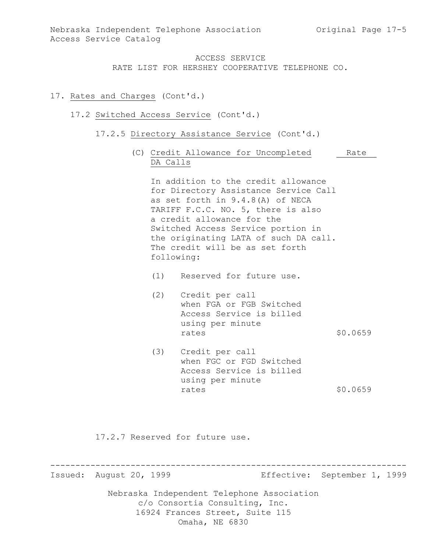### 17. Rates and Charges (Cont'd.)

#### 17.2 Switched Access Service (Cont'd.)

- 17.2.5 Directory Assistance Service (Cont'd.)
	- (C) Credit Allowance for Uncompleted Rate DA Calls

In addition to the credit allowance for Directory Assistance Service Call as set forth in 9.4.8(A) of NECA TARIFF F.C.C. NO. 5, there is also a credit allowance for the Switched Access Service portion in the originating LATA of such DA call. The credit will be as set forth following:

- (1) Reserved for future use.
- (2) Credit per call when FGA or FGB Switched Access Service is billed using per minute rates \$0.0659
- (3) Credit per call when FGC or FGD Switched Access Service is billed using per minute rates \$0.0659

17.2.7 Reserved for future use.

Issued: August 20, 1999 Effective: September 1, 1999

Nebraska Independent Telephone Association c/o Consortia Consulting, Inc. 16924 Frances Street, Suite 115 Omaha, NE 6830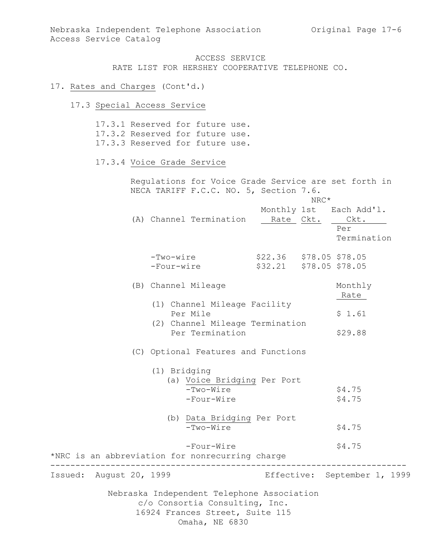#### 17. Rates and Charges (Cont'd.)

17.3 Special Access Service

Nebraska Independent Telephone Association c/o Consortia Consulting, Inc. 16924 Frances Street, Suite 115 Omaha, NE 6830 17.3.1 Reserved for future use. 17.3.2 Reserved for future use. 17.3.3 Reserved for future use. 17.3.4 Voice Grade Service Regulations for Voice Grade Service are set forth in NECA TARIFF F.C.C. NO. 5, Section 7.6. NRC\* Monthly 1st Each Add'l. (A) Channel Termination Rate Ckt. Ckt. Per Termination -Two-wire \$22.36 \$78.05 \$78.05 -Four-wire \$32.21 \$78.05 \$78.05 (B) Channel Mileage Monthly Rate (1) Channel Mileage Facility Per Mile  $$1.61$  (2) Channel Mileage Termination Per Termination \$29.88 (C) Optional Features and Functions (1) Bridging (a) Voice Bridging Per Port  $-Two-Wire$  \$4.75 -Four-Wire \$4.75 (b) Data Bridging Per Port  $-Two-Wire$  \$4.75 -Four-Wire \$4.75 \*NRC is an abbreviation for nonrecurring charge ----------------------------------------------------------------------- Issued: August 20, 1999 Effective: September 1, 1999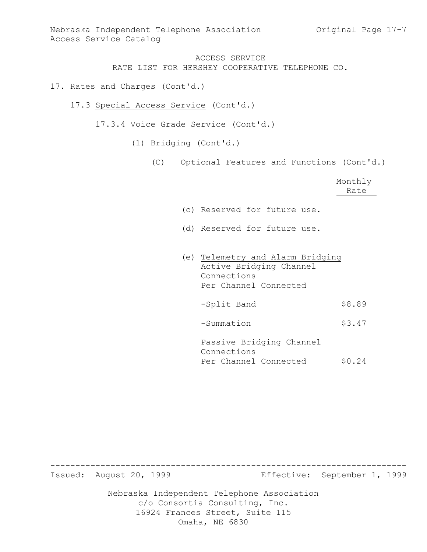- 17. Rates and Charges (Cont'd.)
	- 17.3 Special Access Service (Cont'd.)
		- 17.3.4 Voice Grade Service (Cont'd.)
			- (1) Bridging (Cont'd.)
				- (C) Optional Features and Functions (Cont'd.)

|                              |  | Monthly<br>Rate |
|------------------------------|--|-----------------|
| (c) Reserved for future use. |  |                 |
| (d) Reserved for future use. |  |                 |

(e) Telemetry and Alarm Bridging Active Bridging Channel Connections Per Channel Connected -Split Band \$8.89 -Summation \$3.47 Passive Bridging Channel Connections

Per Channel Connected \$0.24

Issued: August 20, 1999 Effective: September 1, 1999

Nebraska Independent Telephone Association c/o Consortia Consulting, Inc. 16924 Frances Street, Suite 115 Omaha, NE 6830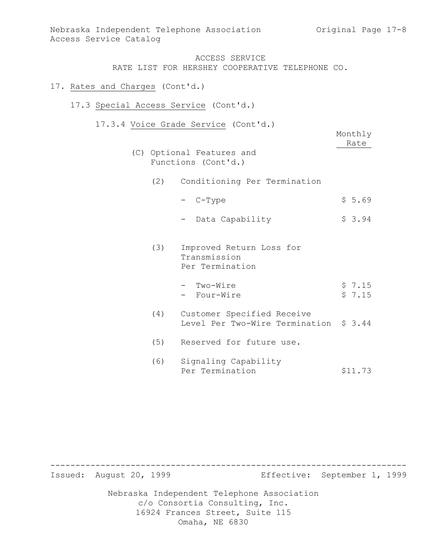### 17. Rates and Charges (Cont'd.)

### 17.3 Special Access Service (Cont'd.)

17.3.4 Voice Grade Service (Cont'd.)

|     |                                                                      | Monthly<br>Rate  |
|-----|----------------------------------------------------------------------|------------------|
|     | (C) Optional Features and<br>Functions (Cont'd.)                     |                  |
|     | (2) Conditioning Per Termination                                     |                  |
|     | - C-Type                                                             | \$5.69           |
|     | Data Capability                                                      | \$3.94           |
| (3) | Improved Return Loss for<br>Transmission<br>Per Termination          |                  |
|     | Two-Wire<br>- Four-Wire                                              | \$7.15<br>\$7.15 |
| (4) | Customer Specified Receive<br>Level Per Two-Wire Termination \$ 3.44 |                  |
| (5) | Reserved for future use.                                             |                  |
| (6) | Signaling Capability<br>Per Termination                              | \$11.73          |

Nebraska Independent Telephone Association c/o Consortia Consulting, Inc. 16924 Frances Street, Suite 115 ----------------------------------------------------------------------- Issued: August 20, 1999 Effective: September 1, 1999

Omaha, NE 6830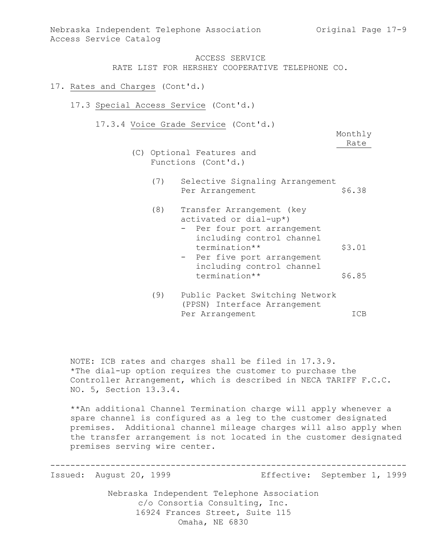- 17. Rates and Charges (Cont'd.)
	- 17.3 Special Access Service (Cont'd.)
		- 17.3.4 Voice Grade Service (Cont'd.)

Monthly Rate

- (C) Optional Features and Functions (Cont'd.)
	- (7) Selective Signaling Arrangement Per Arrangement \$6.38
	- (8) Transfer Arrangement (key activated or dial-up\*) - Per four port arrangement including control channel termination\*\* \$3.01 - Per five port arrangement including control channel termination\*\* \$6.85
	- (9) Public Packet Switching Network (PPSN) Interface Arrangement Per Arrangement ICB

NOTE: ICB rates and charges shall be filed in 17.3.9. \*The dial-up option requires the customer to purchase the Controller Arrangement, which is described in NECA TARIFF F.C.C. NO. 5, Section 13.3.4.

\*\*An additional Channel Termination charge will apply whenever a spare channel is configured as a leg to the customer designated premises. Additional channel mileage charges will also apply when the transfer arrangement is not located in the customer designated premises serving wire center.

-----------------------------------------------------------------------

Issued: August 20, 1999 Effective: September 1, 1999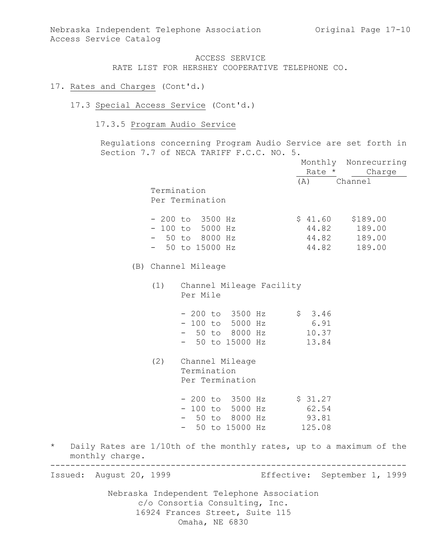- 17. Rates and Charges (Cont'd.)
	- 17.3 Special Access Service (Cont'd.)
		- 17.3.5 Program Audio Service

Regulations concerning Program Audio Service are set forth in Section 7.7 of NECA TARIFF F.C.C. NO. 5.

|                            |                                                                                                                                   |                    | Monthly Nonrecurring<br>Rate * Charge        |
|----------------------------|-----------------------------------------------------------------------------------------------------------------------------------|--------------------|----------------------------------------------|
|                            | Termination<br>Per Termination                                                                                                    | (A) Channel        |                                              |
|                            | $-200$ to 3500 Hz<br>$-100$ to 5000 Hz<br>$-50$ to 8000 Hz<br>$-50$ to 15000 Hz                                                   | $$41.60$ $$189.00$ | 44.82 189.00<br>44.82 189.00<br>44.82 189.00 |
|                            | (B) Channel Mileage                                                                                                               |                    |                                              |
|                            | (1) Channel Mileage Facility<br>Per Mile                                                                                          |                    |                                              |
|                            | $-200$ to 3500 Hz $\frac{1}{5}$ 3.46<br>- 100 to 5000 Hz 6.91<br>- 50 to 8000 Hz<br>- 50 to 15000 Hz                              | 10.37<br>13.84     |                                              |
|                            | (2) Channel Mileage<br>Termination<br>Per Termination                                                                             |                    |                                              |
|                            | $-200$ to 3500 Hz $\frac{1}{2}$ \$ 31.27<br>$-100$ to 5000 Hz<br>- 50 to 8000 Hz 93.81<br>$-$ 50 to 15000 Hz 125.08               | 62.54              |                                              |
| $\star$<br>monthly charge. | Daily Rates are 1/10th of the monthly rates, up to a maximum of the                                                               |                    |                                              |
| August 20, 1999<br>Issued: |                                                                                                                                   |                    | Effective: September 1, 1999                 |
|                            | Nebraska Independent Telephone Association<br>c/o Consortia Consulting, Inc.<br>16924 Frances Street, Suite 115<br>Omaha, NE 6830 |                    |                                              |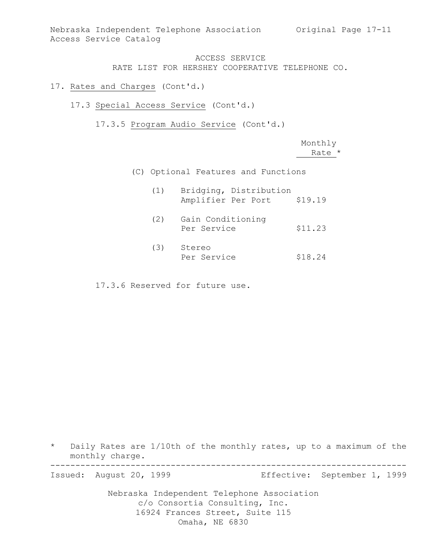Nebraska Independent Telephone Association Original Page 17-11 Access Service Catalog

> ACCESS SERVICE RATE LIST FOR HERSHEY COOPERATIVE TELEPHONE CO.

- 17. Rates and Charges (Cont'd.)
	- 17.3 Special Access Service (Cont'd.)

17.3.5 Program Audio Service (Cont'd.)

Monthly Rate \*

(C) Optional Features and Functions

| (1) | Bridging, Distribution<br>Amplifier Per Port | \$19.19 |
|-----|----------------------------------------------|---------|
| (2) | Gain Conditioning<br>Per Service             | \$11.23 |
| (3) | Stereo<br>Per Service                        | \$18.24 |

17.3.6 Reserved for future use.

\* Daily Rates are 1/10th of the monthly rates, up to a maximum of the monthly charge. -----------------------------------------------------------------------

Issued: August 20, 1999 Effective: September 1, 1999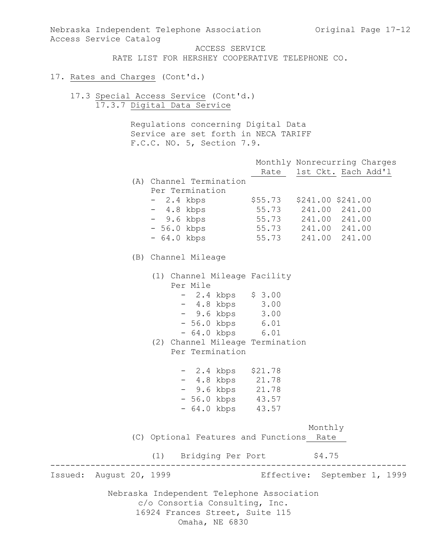Nebraska Independent Telephone Association Original Page 17-12 Access Service Catalog

ACCESS SERVICE

RATE LIST FOR HERSHEY COOPERATIVE TELEPHONE CO.

- 17. Rates and Charges (Cont'd.)
	- 17.3 Special Access Service (Cont'd.) 17.3.7 Digital Data Service

Regulations concerning Digital Data Service are set forth in NECA TARIFF F.C.C. NO. 5, Section 7.9.

|         |                 |                                            | Monthly Nonrecurring Charges<br>Rate 1st Ckt. Each Add'l |
|---------|-----------------|--------------------------------------------|----------------------------------------------------------|
|         |                 | (A) Channel Termination<br>Per Termination |                                                          |
|         |                 | - 2.4 kbps \$55.73 \$241.00 \$241.00       |                                                          |
|         |                 | - 4.8 kbps                                 | 55.73 241.00 241.00                                      |
|         |                 | - 9.6 kbps                                 |                                                          |
|         |                 | - 56.0 kbps                                | 55.73 241.00 241.00<br>55.73 241.00 241.00               |
|         |                 | - 64.0 kbps                                | 55.73 241.00 241.00                                      |
|         |                 | (B) Channel Mileage                        |                                                          |
|         |                 | (1) Channel Mileage Facility<br>Per Mile   |                                                          |
|         |                 | $-2.4$ kbps $$3.00$                        |                                                          |
|         |                 | $-4.8$ kbps $3.00$                         |                                                          |
|         |                 | - 9.6 kbps 3.00                            |                                                          |
|         |                 | - 56.0 kbps 6.01                           |                                                          |
|         |                 | $-64.0$ kbps $6.01$                        |                                                          |
|         |                 | (2) Channel Mileage Termination            |                                                          |
|         |                 | Per Termination                            |                                                          |
|         |                 | $-2.4$ kbps $$21.78$                       |                                                          |
|         |                 | - 4.8 kbps 21.78                           |                                                          |
|         |                 | - 9.6 kbps 21.78                           |                                                          |
|         |                 | - 56.0 kbps 43.57                          |                                                          |
|         |                 | $-64.0$ kbps $43.57$                       |                                                          |
|         |                 |                                            | Monthly                                                  |
|         |                 | (C) Optional Features and Functions Rate   |                                                          |
|         |                 | (1) Bridging Per Port                      | \$4.75                                                   |
| Issued: | August 20, 1999 |                                            | Effective: September 1, 1999                             |
|         |                 | Nebraska Independent Telephone Association |                                                          |
|         |                 | c/o Consortia Consulting, Inc.             |                                                          |
|         |                 | 16924 Frances Street, Suite 115            |                                                          |
|         |                 | Omaha, NE 6830                             |                                                          |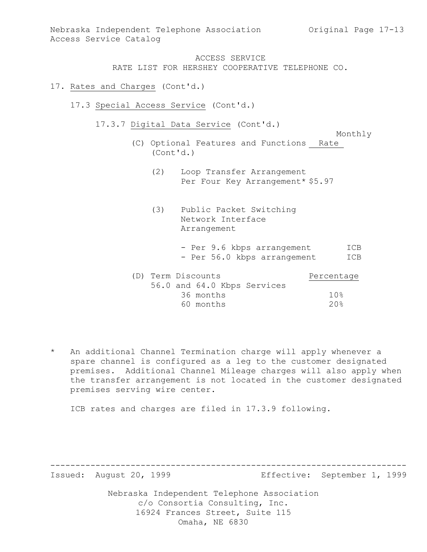Nebraska Independent Telephone Association Original Page 17-13 Access Service Catalog

> ACCESS SERVICE RATE LIST FOR HERSHEY COOPERATIVE TELEPHONE CO.

- 17. Rates and Charges (Cont'd.)
	- 17.3 Special Access Service (Cont'd.)
		- 17.3.7 Digital Data Service (Cont'd.)

Monthly

- (C) Optional Features and Functions Rate (Cont'd.)
	- (2) Loop Transfer Arrangement Per Four Key Arrangement\* \$5.97
	- (3) Public Packet Switching Network Interface Arrangement
		- Per 9.6 kbps arrangement ICB - Per 56.0 kbps arrangement ICB

|  | (D) Term Discounts |  |                             | Percentage |
|--|--------------------|--|-----------------------------|------------|
|  |                    |  | 56.0 and 64.0 Kbps Services |            |
|  | 36 months          |  |                             | 10%        |
|  | 60 months          |  |                             | 20%        |

\* An additional Channel Termination charge will apply whenever a spare channel is configured as a leg to the customer designated premises. Additional Channel Mileage charges will also apply when the transfer arrangement is not located in the customer designated premises serving wire center.

-----------------------------------------------------------------------

ICB rates and charges are filed in 17.3.9 following.

Issued: August 20, 1999 Effective: September 1, 1999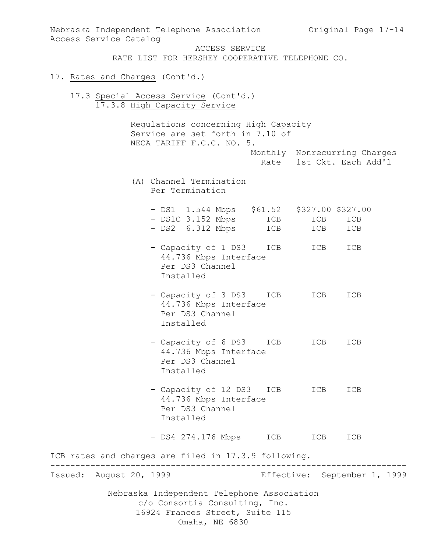| Nebraska Independent Telephone Association Criginal Page 17-14<br>Access Service Catalog                                          |            |                          |                              |
|-----------------------------------------------------------------------------------------------------------------------------------|------------|--------------------------|------------------------------|
| ACCESS SERVICE<br>RATE LIST FOR HERSHEY COOPERATIVE TELEPHONE CO.                                                                 |            |                          |                              |
| 17. Rates and Charges (Cont'd.)                                                                                                   |            |                          |                              |
| 17.3 Special Access Service (Cont'd.)<br>17.3.8 High Capacity Service                                                             |            |                          |                              |
| Regulations concerning High Capacity<br>Service are set forth in 7.10 of<br>NECA TARIFF F.C.C. NO. 5.                             |            |                          |                              |
|                                                                                                                                   |            | Rate 1st Ckt. Each Add'l | Monthly Nonrecurring Charges |
| (A) Channel Termination<br>Per Termination                                                                                        |            |                          |                              |
| - DS1 1.544 Mbps \$61.52 \$327.00 \$327.00<br>- DS1C 3.152 Mbps<br>- DS2 6.312 Mbps                                               | ICB<br>ICB | ICB<br>ICB               | ICB<br>ICB                   |
| - Capacity of 1 DS3<br>44.736 Mbps Interface<br>Per DS3 Channel<br>Installed                                                      | ICB        | ICB                      | ICB                          |
| - Capacity of 3 DS3<br>44.736 Mbps Interface<br>Per DS3 Channel<br>Installed                                                      | ICB        | ICB                      | ICB                          |
| - Capacity of 6 DS3 ICB<br>44.736 Mbps Interface<br>Per DS3 Channel<br>Installed                                                  |            | ICB                      | ICB                          |
| - Capacity of 12 DS3 ICB ICB<br>44.736 Mbps Interface<br>Per DS3 Channel<br>Installed                                             |            |                          | ICB                          |
| - DS4 274.176 Mbps                                                                                                                | ICB        | ICB                      | ICB                          |
| ICB rates and charges are filed in 17.3.9 following.                                                                              |            |                          |                              |
| Issued: August 20, 1999                                                                                                           |            |                          | Effective: September 1, 1999 |
| Nebraska Independent Telephone Association<br>c/o Consortia Consulting, Inc.<br>16924 Frances Street, Suite 115<br>Omaha, NE 6830 |            |                          |                              |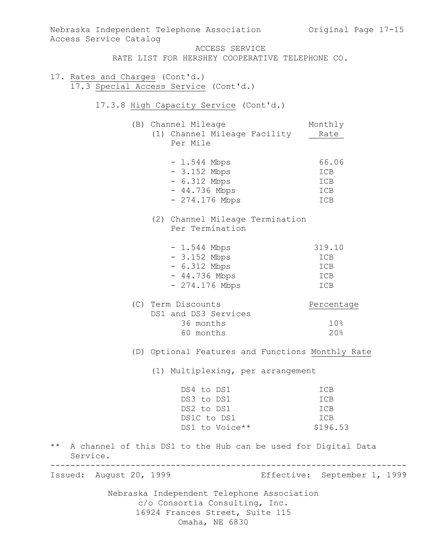| Nebraska Independent Telephone Association             Original Page 17-15<br>Access Service Catalog |                                                                   |
|------------------------------------------------------------------------------------------------------|-------------------------------------------------------------------|
|                                                                                                      | ACCESS SERVICE<br>RATE LIST FOR HERSHEY COOPERATIVE TELEPHONE CO. |
|                                                                                                      |                                                                   |
| 17. Rates and Charges (Cont'd.)<br>17.3 Special Access Service (Cont'd.)                             |                                                                   |
| 17.3.8 High Capacity Service (Cont'd.)                                                               |                                                                   |
| (B) Channel Mileage                                                                                  | Monthly                                                           |
| (1) Channel Mileage Facility<br>Per Mile                                                             | Rate                                                              |
| $-1.544$ Mbps                                                                                        | 66.06                                                             |
| $-3.152$ Mbps                                                                                        | ICB                                                               |
| - 6.312 Mbps                                                                                         | ICB                                                               |
| - 44.736 Mbps                                                                                        | ICB                                                               |
| $-274.176$ Mbps                                                                                      | ICB                                                               |
| (2) Channel Mileage Termination                                                                      |                                                                   |
| Per Termination                                                                                      |                                                                   |
| $-1.544$ Mbps                                                                                        | 319.10                                                            |
| $-3.152$ Mbps                                                                                        | ICB                                                               |
| $-6.312$ Mbps                                                                                        | ICB                                                               |
| $-44.736$ Mbps                                                                                       | ICB                                                               |
| $-274.176$ Mbps                                                                                      | ICB                                                               |
| (C) Term Discounts                                                                                   | Percentage                                                        |
| DS1 and DS3 Services                                                                                 |                                                                   |
| 36 months                                                                                            | 10%                                                               |
| 60 months                                                                                            | 20%                                                               |
|                                                                                                      | (D) Optional Features and Functions Monthly Rate                  |
|                                                                                                      | (1) Multiplexing, per arrangement                                 |
| DS4 to DS1                                                                                           | ICB                                                               |
| DS3 to DS1                                                                                           | ICB                                                               |
| DS2 to DS1                                                                                           | ICB                                                               |
| DS1C to DS1                                                                                          | ICB                                                               |
| DS1 to Voice**                                                                                       | \$196.53                                                          |
| $\star\star$<br>A channel of this DS1 to the Hub can be used for Digital Data<br>Service.            |                                                                   |
| Issued: August 20, 1999                                                                              | Effective: September 1, 1999                                      |
| Nebraska Independent Telephone Association                                                           |                                                                   |
| c/o Consortia Consulting, Inc.                                                                       |                                                                   |
| 16924 Frances Street, Suite 115                                                                      |                                                                   |
| Omaha, NE 6830                                                                                       |                                                                   |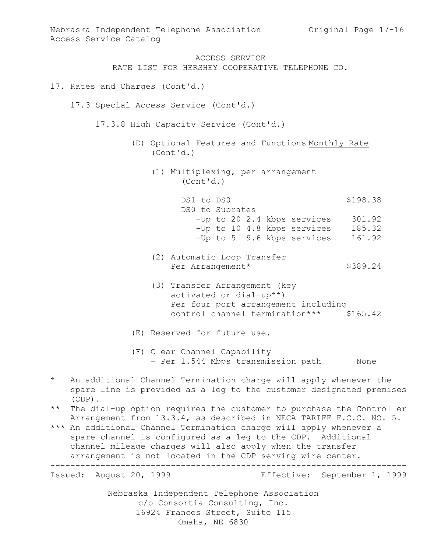- 17. Rates and Charges (Cont'd.)
	- 17.3 Special Access Service (Cont'd.)
		- 17.3.8 High Capacity Service (Cont'd.)
			- (D) Optional Features and Functions Monthly Rate (Cont'd.)
				- (1) Multiplexing, per arrangement (Cont'd.)

DS1 to DS0 \$198.38 DS0 to Subrates -Up to 20 2.4 kbps services 301.92 -Up to 10 4.8 kbps services 185.32 -Up to 5 9.6 kbps services 161.92

- (2) Automatic Loop Transfer Per Arrangement\* \$389.24
- (3) Transfer Arrangement (key activated or dial-up\*\*) Per four port arrangement including control channel termination\*\*\* \$165.42

(E) Reserved for future use.

- (F) Clear Channel Capability - Per 1.544 Mbps transmission path None
- \* An additional Channel Termination charge will apply whenever the spare line is provided as a leg to the customer designated premises (CDP).
- \*\* The dial-up option requires the customer to purchase the Controller Arrangement from 13.3.4, as described in NECA TARIFF F.C.C. NO. 5.
- \*\*\* An additional Channel Termination charge will apply whenever a spare channel is configured as a leg to the CDP. Additional channel mileage charges will also apply when the transfer arrangement is not located in the CDP serving wire center. -----------------------------------------------------------------------

Issued: August 20, 1999 Effective: September 1, 1999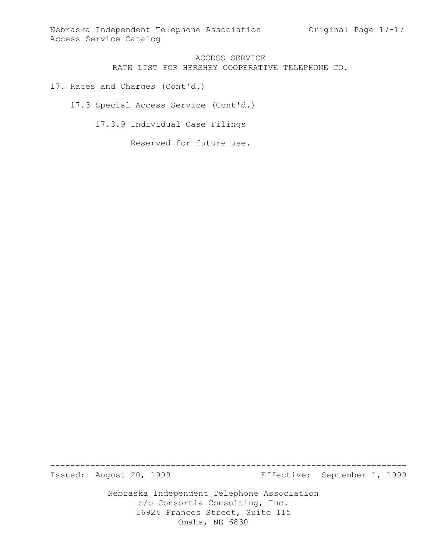Nebraska Independent Telephone Association Original Page 17-17 Access Service Catalog

## ACCESS SERVICE RATE LIST FOR HERSHEY COOPERATIVE TELEPHONE CO.

- 17. Rates and Charges (Cont'd.)
	- 17.3 Special Access Service (Cont'd.)
		- 17.3.9 Individual Case Filings

Reserved for future use.

Issued: August 20, 1999 Effective: September 1, 1999

Nebraska Independent Telephone Association c/o Consortia Consulting, Inc. 16924 Frances Street, Suite 115 Omaha, NE 6830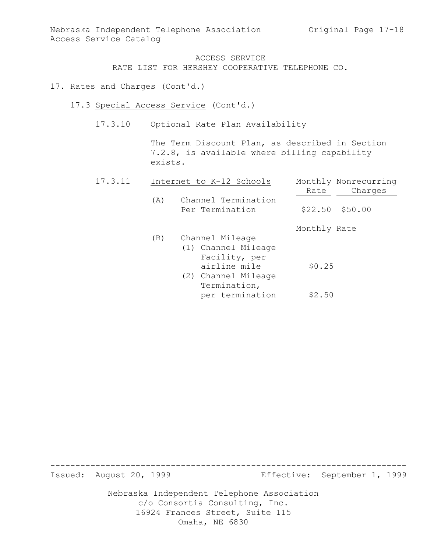- 17. Rates and Charges (Cont'd.)
	- 17.3 Special Access Service (Cont'd.)
		- 17.3.10 Optional Rate Plan Availability

The Term Discount Plan, as described in Section 7.2.8, is available where billing capability exists.

| 17.3.11 |     | Internet to K-12 Schools               | Monthly Nonrecurring |
|---------|-----|----------------------------------------|----------------------|
|         |     |                                        | Charges<br>Rate      |
|         | (A) | Channel Termination<br>Per Termination | $$22.50$ $$50.00$    |
|         |     |                                        | Monthly Rate         |
|         | (B) | Channel Mileage                        |                      |
|         |     | (1) Channel Mileage                    |                      |
|         |     | Facility, per                          |                      |
|         |     | airline mile                           | \$0.25               |
|         |     | (2) Channel Mileage                    |                      |
|         |     | Termination,                           |                      |
|         |     | per termination                        | \$2.50               |

Issued: August 20, 1999 Effective: September 1, 1999

Nebraska Independent Telephone Association c/o Consortia Consulting, Inc. 16924 Frances Street, Suite 115 Omaha, NE 6830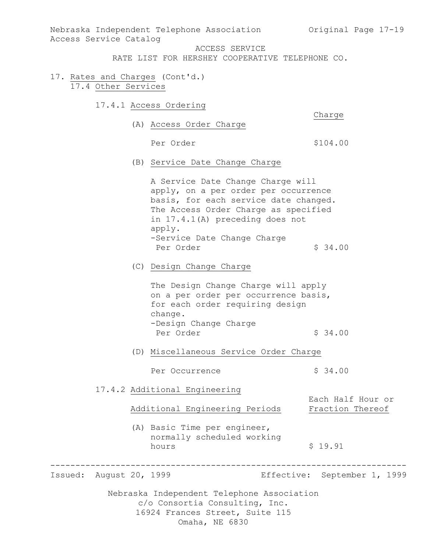Access Service Catalog ACCESS SERVICE

RATE LIST FOR HERSHEY COOPERATIVE TELEPHONE CO.

- 17. Rates and Charges (Cont'd.) 17.4 Other Services
	- 17.4.1 Access Ordering

Charge

(A) Access Order Charge

Per Order  $$104.00$ 

(B) Service Date Change Charge

A Service Date Change Charge will apply, on a per order per occurrence basis, for each service date changed. The Access Order Charge as specified in 17.4.1(A) preceding does not apply. -Service Date Change Charge Per Order  $$34.00$ 

(C) Design Change Charge

The Design Change Charge will apply on a per order per occurrence basis, for each order requiring design change. -Design Change Charge Per Order  $\sim$  \$ 34.00

(D) Miscellaneous Service Order Charge

Per Occurrence  $\frac{1}{2}$  \$ 34.00

17.4.2 Additional Engineering

Additional Engineering Periods Fraction Thereof

-----------------------------------------------------------------------

(A) Basic Time per engineer, normally scheduled working hours \$ 19.91

Issued: August 20, 1999 Effective: September 1, 1999

Each Half Hour or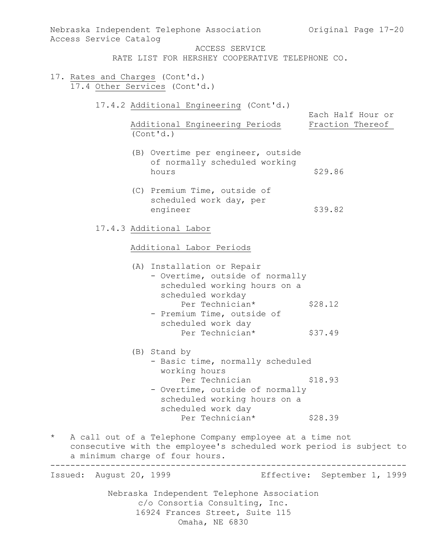| Access Service Catalog                                            | Nebraska Independent Telephone Association 60 Original Page 17-20                                                                                                  |                                       |  |  |
|-------------------------------------------------------------------|--------------------------------------------------------------------------------------------------------------------------------------------------------------------|---------------------------------------|--|--|
|                                                                   | ACCESS SERVICE<br>RATE LIST FOR HERSHEY COOPERATIVE TELEPHONE CO.                                                                                                  |                                       |  |  |
| 17. Rates and Charges (Cont'd.)<br>17.4 Other Services (Cont'd.)  |                                                                                                                                                                    |                                       |  |  |
|                                                                   | 17.4.2 Additional Engineering (Cont'd.)<br>Additional Engineering Periods                                                                                          | Each Half Hour or<br>Fraction Thereof |  |  |
|                                                                   | (Cont 'd.)                                                                                                                                                         |                                       |  |  |
|                                                                   | (B) Overtime per engineer, outside<br>of normally scheduled working<br>hours                                                                                       | \$29.86                               |  |  |
|                                                                   | (C) Premium Time, outside of<br>scheduled work day, per<br>engineer                                                                                                | \$39.82                               |  |  |
| 17.4.3 Additional Labor<br>Additional Labor Periods               |                                                                                                                                                                    |                                       |  |  |
|                                                                   |                                                                                                                                                                    |                                       |  |  |
|                                                                   | Per Technician*<br>- Premium Time, outside of<br>scheduled work day                                                                                                | \$28.12                               |  |  |
|                                                                   | Per Technician*                                                                                                                                                    | \$37.49                               |  |  |
| (B) Stand by<br>- Basic time, normally scheduled<br>working hours |                                                                                                                                                                    |                                       |  |  |
|                                                                   | Per Technician<br>- Overtime, outside of normally<br>scheduled working hours on a<br>scheduled work day                                                            | \$18.93                               |  |  |
|                                                                   | Per Technician*                                                                                                                                                    | \$28.39                               |  |  |
| $\star$                                                           | A call out of a Telephone Company employee at a time not<br>consecutive with the employee's scheduled work period is subject to<br>a minimum charge of four hours. |                                       |  |  |
| Issued: August 20, 1999                                           |                                                                                                                                                                    | Effective: September 1, 1999          |  |  |
|                                                                   | Nebraska Independent Telephone Association<br>c/o Consortia Consulting, Inc.<br>16924 Frances Street, Suite 115<br>Omaha, NE 6830                                  |                                       |  |  |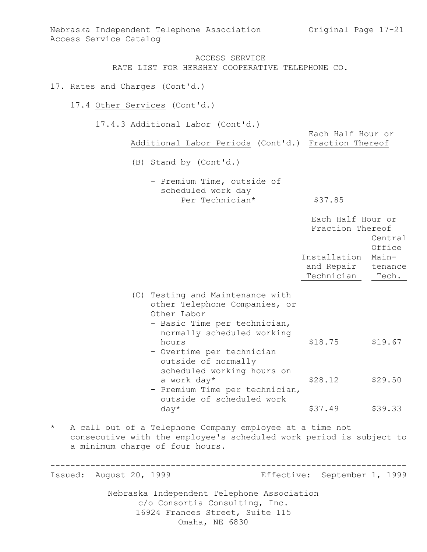Nebraska Independent Telephone Association (Original Page 17-21) Access Service Catalog

> ACCESS SERVICE RATE LIST FOR HERSHEY COOPERATIVE TELEPHONE CO.

### 17. Rates and Charges (Cont'd.)

- 17.4 Other Services (Cont'd.)
	- 17.4.3 Additional Labor (Cont'd.)

Each Half Hour or Additional Labor Periods (Cont'd.) Fraction Thereof (B) Stand by (Cont'd.) - Premium Time, outside of scheduled work day Per Technician\* \$37.85 Each Half Hour or Fraction Thereof Central Office Installation Main and Repair tenance Technician Tech. (C) Testing and Maintenance with other Telephone Companies, or Other Labor - Basic Time per technician, normally scheduled working hours \$18.75 \$19.67 - Overtime per technician outside of normally scheduled working hours on

- a work day\*  $$28.12$   $$29.50$ - Premium Time per technician, outside of scheduled work  $day*$   $$37.49$   $$39.33$
- \* A call out of a Telephone Company employee at a time not consecutive with the employee's scheduled work period is subject to a minimum charge of four hours.

----------------------------------------------------------------------- Issued: August 20, 1999 Effective: September 1, 1999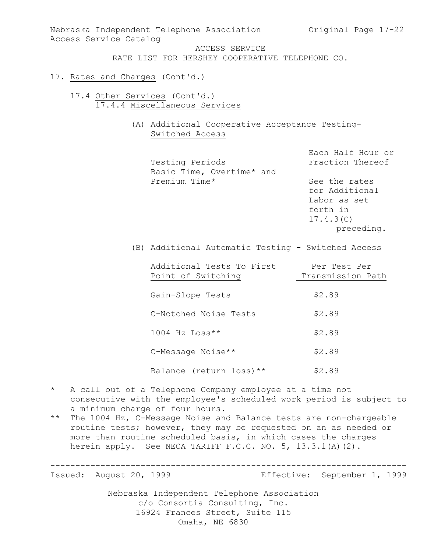Nebraska Independent Telephone Association (Original Page 17-22) Access Service Catalog

ACCESS SERVICE

RATE LIST FOR HERSHEY COOPERATIVE TELEPHONE CO.

- 17. Rates and Charges (Cont'd.)
	- 17.4 Other Services (Cont'd.) 17.4.4 Miscellaneous Services
		- (A) Additional Cooperative Acceptance Testing-Switched Access

Testing Periods Fraction Thereof Basic Time, Overtime\* and Premium Time\* See the rates

Each Half Hour or

for Additional Labor as set forth in 17.4.3(C) preceding.

(B) Additional Automatic Testing - Switched Access

| Additional Tests To First<br>Point of Switching | Per Test Per<br>Transmission Path |
|-------------------------------------------------|-----------------------------------|
| Gain-Slope Tests                                | \$2.89                            |
| C-Notched Noise Tests                           | \$2.89                            |
| $1004$ Hz Loss**                                | \$2.89                            |
| C-Message Noise**                               | \$2.89                            |
| Balance (return loss) **                        | \$2.89                            |

- \* A call out of a Telephone Company employee at a time not consecutive with the employee's scheduled work period is subject to a minimum charge of four hours.
- \*\* The 1004 Hz, C-Message Noise and Balance tests are non-chargeable routine tests; however, they may be requested on an as needed or more than routine scheduled basis, in which cases the charges herein apply. See NECA TARIFF F.C.C. NO. 5, 13.3.1(A)(2).

----------------------------------------------------------------------- Issued: August 20, 1999 Effective: September 1, 1999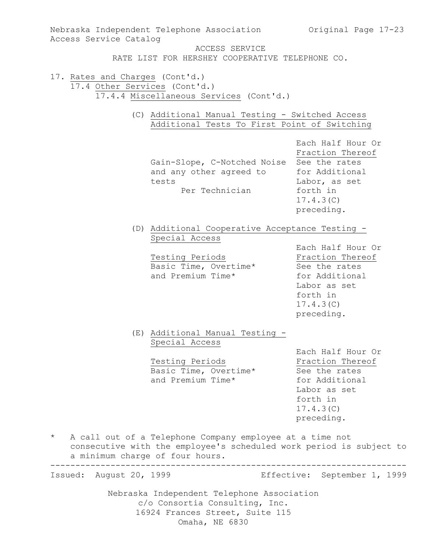| Access Service Catalog                                           |                                                                                                                                            | Nebraska Independent Telephone Association 60 Original Page 17-23                                                               |
|------------------------------------------------------------------|--------------------------------------------------------------------------------------------------------------------------------------------|---------------------------------------------------------------------------------------------------------------------------------|
|                                                                  | ACCESS SERVICE<br>RATE LIST FOR HERSHEY COOPERATIVE TELEPHONE CO.                                                                          |                                                                                                                                 |
| 17. Rates and Charges (Cont'd.)<br>17.4 Other Services (Cont'd.) | 17.4.4 Miscellaneous Services (Cont'd.)<br>(C) Additional Manual Testing - Switched Access<br>Additional Tests To First Point of Switching |                                                                                                                                 |
|                                                                  | Gain-Slope, C-Notched Noise See the rates<br>and any other agreed to<br>tests<br>Per Technician                                            | Each Half Hour Or<br>Fraction Thereof<br>for Additional<br>Labor, as set<br>forth in<br>17.4.3(C)<br>preceding.                 |
|                                                                  | (D) Additional Cooperative Acceptance Testing -<br>Special Access<br>Testing Periods<br>Basic Time, Overtime*<br>and Premium Time*         | Each Half Hour Or<br>Fraction Thereof<br>See the rates<br>for Additional<br>Labor as set<br>forth in<br>17.4.3(C)<br>preceding. |
|                                                                  | (E) Additional Manual Testing -<br>Special Access<br>Testing Periods<br>Basic Time, Overtime*<br>and Premium Time*                         | Each Half Hour Or<br>Fraction Thereof<br>See the rates<br>for Additional<br>Labor as set<br>forth in<br>17.4.3(C)<br>preceding. |
| $^{\star}$                                                       | A call out of a Telephone Company employee at a time not<br>a minimum charge of four hours.                                                | consecutive with the employee's scheduled work period is subject to                                                             |
| Issued: August 20, 1999                                          |                                                                                                                                            | Effective: September 1, 1999                                                                                                    |
|                                                                  | Nebraska Independent Telephone Association<br>c/o Consortia Consulting, Inc.<br>16924 Frances Street, Suite 115<br>Omaha, NE 6830          |                                                                                                                                 |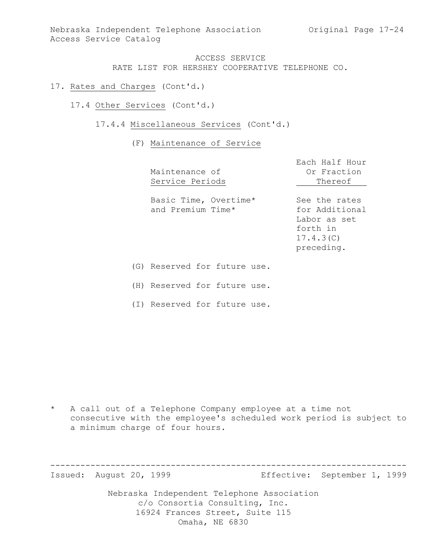Nebraska Independent Telephone Association (Original Page 17-24) Access Service Catalog

### ACCESS SERVICE RATE LIST FOR HERSHEY COOPERATIVE TELEPHONE CO.

- 17. Rates and Charges (Cont'd.)
	- 17.4 Other Services (Cont'd.)
		- 17.4.4 Miscellaneous Services (Cont'd.)

#### (F) Maintenance of Service

| Maintenance of<br>Service Periods          | Each Half Hour<br>Or Fraction<br>Thereof                                               |
|--------------------------------------------|----------------------------------------------------------------------------------------|
| Basic Time, Overtime*<br>and Premium Time* | See the rates<br>for Additional<br>Labor as set<br>forth in<br>17.4.3(C)<br>preceding. |
| (G) Reserved for future use.               |                                                                                        |

(H) Reserved for future use.

(I) Reserved for future use.

\* A call out of a Telephone Company employee at a time not consecutive with the employee's scheduled work period is subject to a minimum charge of four hours.

----------------------------------------------------------------------- Issued: August 20, 1999 Effective: September 1, 1999